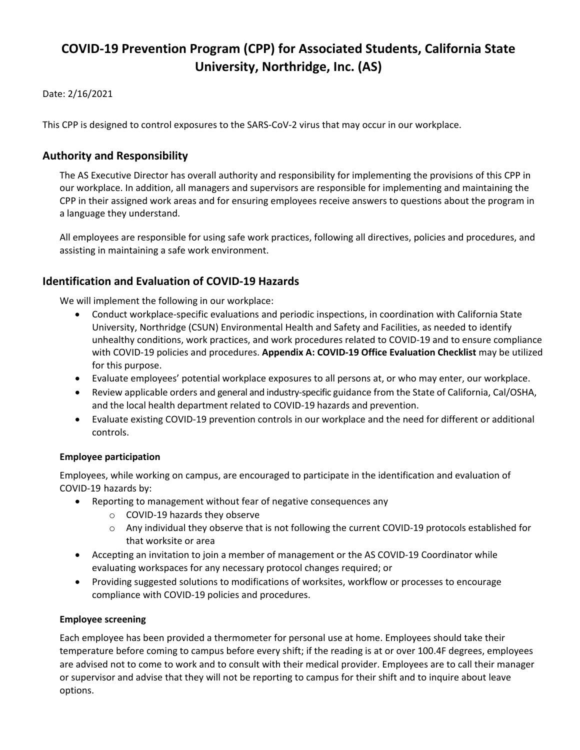# **COVID-19 Prevention Program (CPP) for Associated Students, California State University, Northridge, Inc. (AS)**

#### Date: 2/16/2021

This CPP is designed to control exposures to the SARS-CoV-2 virus that may occur in our workplace.

### **Authority and Responsibility**

The AS Executive Director has overall authority and responsibility for implementing the provisions of this CPP in our workplace. In addition, all managers and supervisors are responsible for implementing and maintaining the CPP in their assigned work areas and for ensuring employees receive answers to questions about the program in a language they understand.

All employees are responsible for using safe work practices, following all directives, policies and procedures, and assisting in maintaining a safe work environment.

## **Identification and Evaluation of COVID-19 Hazards**

We will implement the following in our workplace:

- Conduct workplace-specific evaluations and periodic inspections, in coordination with California State University, Northridge (CSUN) Environmental Health and Safety and Facilities, as needed to identify unhealthy conditions, work practices, and work procedures related to COVID-19 and to ensure compliance with COVID-19 policies and procedures. **Appendix A: COVID-19 Office Evaluation Checklist** may be utilized for this purpose.
- Evaluate employees' potential workplace exposures to all persons at, or who may enter, our workplace.
- Review applicable orders and general and industry-specific guidance from the State of California, Cal/OSHA, and the local health department related to COVID-19 hazards and prevention.
- Evaluate existing COVID-19 prevention controls in our workplace and the need for different or additional controls.

#### **Employee participation**

Employees, while working on campus, are encouraged to participate in the identification and evaluation of COVID-19 hazards by:

- Reporting to management without fear of negative consequences any
	- o COVID-19 hazards they observe
	- o Any individual they observe that is not following the current COVID-19 protocols established for that worksite or area
- Accepting an invitation to join a member of management or the AS COVID-19 Coordinator while evaluating workspaces for any necessary protocol changes required; or
- Providing suggested solutions to modifications of worksites, workflow or processes to encourage compliance with COVID-19 policies and procedures.

#### **Employee screening**

Each employee has been provided a thermometer for personal use at home. Employees should take their temperature before coming to campus before every shift; if the reading is at or over 100.4F degrees, employees are advised not to come to work and to consult with their medical provider. Employees are to call their manager or supervisor and advise that they will not be reporting to campus for their shift and to inquire about leave options.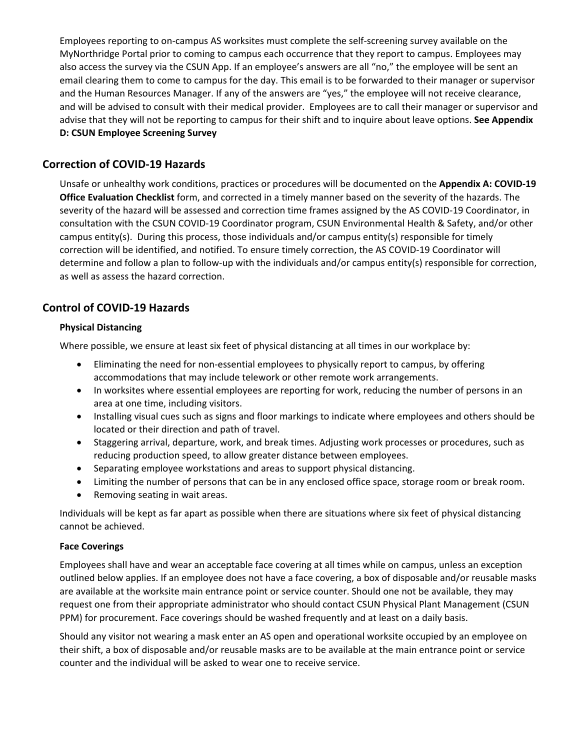Employees reporting to on-campus AS worksites must complete the self-screening survey available on the MyNorthridge Portal prior to coming to campus each occurrence that they report to campus. Employees may also access the survey via the CSUN App. If an employee's answers are all "no," the employee will be sent an email clearing them to come to campus for the day. This email is to be forwarded to their manager or supervisor and the Human Resources Manager. If any of the answers are "yes," the employee will not receive clearance, and will be advised to consult with their medical provider. Employees are to call their manager or supervisor and advise that they will not be reporting to campus for their shift and to inquire about leave options. **See Appendix D: CSUN Employee Screening Survey**

### **Correction of COVID-19 Hazards**

Unsafe or unhealthy work conditions, practices or procedures will be documented on the **Appendix A: COVID-19 Office Evaluation Checklist** form, and corrected in a timely manner based on the severity of the hazards. The severity of the hazard will be assessed and correction time frames assigned by the AS COVID-19 Coordinator, in consultation with the CSUN COVID-19 Coordinator program, CSUN Environmental Health & Safety, and/or other campus entity(s). During this process, those individuals and/or campus entity(s) responsible for timely correction will be identified, and notified. To ensure timely correction, the AS COVID-19 Coordinator will determine and follow a plan to follow-up with the individuals and/or campus entity(s) responsible for correction, as well as assess the hazard correction.

## **Control of COVID-19 Hazards**

#### **Physical Distancing**

Where possible, we ensure at least six feet of physical distancing at all times in our workplace by:

- Eliminating the need for non-essential employees to physically report to campus, by offering accommodations that may include telework or other remote work arrangements.
- In worksites where essential employees are reporting for work, reducing the number of persons in an area at one time, including visitors.
- Installing visual cues such as signs and floor markings to indicate where employees and others should be located or their direction and path of travel.
- Staggering arrival, departure, work, and break times. Adjusting work processes or procedures, such as reducing production speed, to allow greater distance between employees.
- Separating employee workstations and areas to support physical distancing.
- Limiting the number of persons that can be in any enclosed office space, storage room or break room.
- Removing seating in wait areas.

Individuals will be kept as far apart as possible when there are situations where six feet of physical distancing cannot be achieved.

#### **Face Coverings**

Employees shall have and wear an acceptable face covering at all times while on campus, unless an exception outlined below applies. If an employee does not have a face covering, a box of disposable and/or reusable masks are available at the worksite main entrance point or service counter. Should one not be available, they may request one from their appropriate administrator who should contact CSUN Physical Plant Management (CSUN PPM) for procurement. Face coverings should be washed frequently and at least on a daily basis.

Should any visitor not wearing a mask enter an AS open and operational worksite occupied by an employee on their shift, a box of disposable and/or reusable masks are to be available at the main entrance point or service counter and the individual will be asked to wear one to receive service.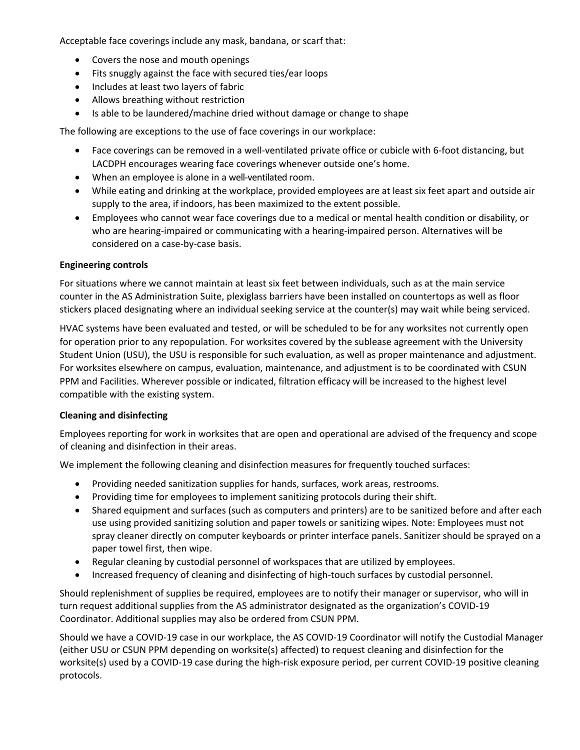Acceptable face coverings include any mask, bandana, or scarf that:

- Covers the nose and mouth openings
- Fits snuggly against the face with secured ties/ear loops
- Includes at least two layers of fabric
- Allows breathing without restriction
- Is able to be laundered/machine dried without damage or change to shape

The following are exceptions to the use of face coverings in our workplace:

- Face coverings can be removed in a well-ventilated private office or cubicle with 6-foot distancing, but LACDPH encourages wearing face coverings whenever outside one's home.
- When an employee is alone in a well-ventilated room.
- While eating and drinking at the workplace, provided employees are at least six feet apart and outside air supply to the area, if indoors, has been maximized to the extent possible.
- Employees who cannot wear face coverings due to a medical or mental health condition or disability, or who are hearing-impaired or communicating with a hearing-impaired person. Alternatives will be considered on a case-by-case basis.

#### **Engineering controls**

For situations where we cannot maintain at least six feet between individuals, such as at the main service counter in the AS Administration Suite, plexiglass barriers have been installed on countertops as well as floor stickers placed designating where an individual seeking service at the counter(s) may wait while being serviced.

HVAC systems have been evaluated and tested, or will be scheduled to be for any worksites not currently open for operation prior to any repopulation. For worksites covered by the sublease agreement with the University Student Union (USU), the USU is responsible for such evaluation, as well as proper maintenance and adjustment. For worksites elsewhere on campus, evaluation, maintenance, and adjustment is to be coordinated with CSUN PPM and Facilities. Wherever possible or indicated, filtration efficacy will be increased to the highest level compatible with the existing system.

#### **Cleaning and disinfecting**

Employees reporting for work in worksites that are open and operational are advised of the frequency and scope of cleaning and disinfection in their areas.

We implement the following cleaning and disinfection measures for frequently touched surfaces:

- Providing needed sanitization supplies for hands, surfaces, work areas, restrooms.
- Providing time for employees to implement sanitizing protocols during their shift.
- Shared equipment and surfaces (such as computers and printers) are to be sanitized before and after each use using provided sanitizing solution and paper towels or sanitizing wipes. Note: Employees must not spray cleaner directly on computer keyboards or printer interface panels. Sanitizer should be sprayed on a paper towel first, then wipe.
- Regular cleaning by custodial personnel of workspaces that are utilized by employees.
- Increased frequency of cleaning and disinfecting of high-touch surfaces by custodial personnel.

Should replenishment of supplies be required, employees are to notify their manager or supervisor, who will in turn request additional supplies from the AS administrator designated as the organization's COVID-19 Coordinator. Additional supplies may also be ordered from CSUN PPM.

Should we have a COVID-19 case in our workplace, the AS COVID-19 Coordinator will notify the Custodial Manager (either USU or CSUN PPM depending on worksite(s) affected) to request cleaning and disinfection for the worksite(s) used by a COVID-19 case during the high-risk exposure period, per current COVID-19 positive cleaning protocols.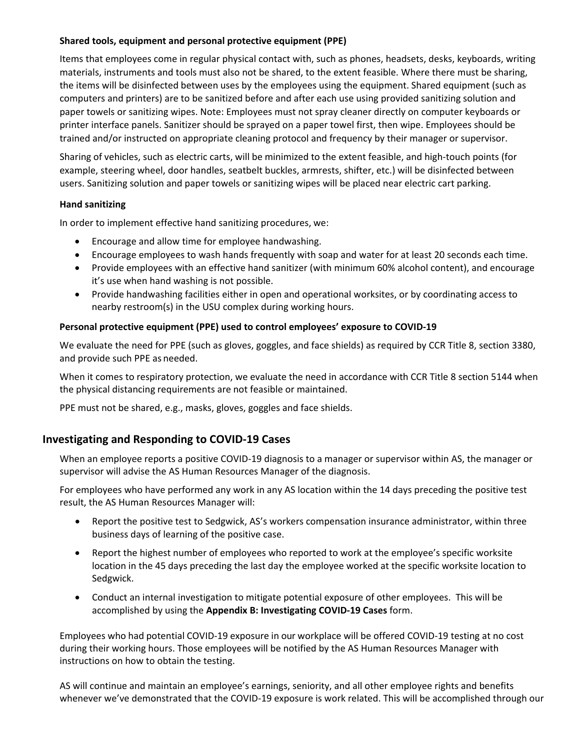#### **Shared tools, equipment and personal protective equipment (PPE)**

Items that employees come in regular physical contact with, such as phones, headsets, desks, keyboards, writing materials, instruments and tools must also not be shared, to the extent feasible. Where there must be sharing, the items will be disinfected between uses by the employees using the equipment. Shared equipment (such as computers and printers) are to be sanitized before and after each use using provided sanitizing solution and paper towels or sanitizing wipes. Note: Employees must not spray cleaner directly on computer keyboards or printer interface panels. Sanitizer should be sprayed on a paper towel first, then wipe. Employees should be trained and/or instructed on appropriate cleaning protocol and frequency by their manager or supervisor.

Sharing of vehicles, such as electric carts, will be minimized to the extent feasible, and high-touch points (for example, steering wheel, door handles, seatbelt buckles, armrests, shifter, etc.) will be disinfected between users. Sanitizing solution and paper towels or sanitizing wipes will be placed near electric cart parking.

#### **Hand sanitizing**

In order to implement effective hand sanitizing procedures, we:

- Encourage and allow time for employee handwashing.
- Encourage employees to wash hands frequently with soap and water for at least 20 seconds each time.
- Provide employees with an effective hand sanitizer (with minimum 60% alcohol content), and encourage it's use when hand washing is not possible.
- Provide handwashing facilities either in open and operational worksites, or by coordinating access to nearby restroom(s) in the USU complex during working hours.

#### **Personal protective equipment (PPE) used to control employees' exposure to COVID-19**

We evaluate the need for PPE (such as gloves, goggles, and face shields) as required by CCR Title 8, section 3380, and provide such PPE as needed.

When it comes to respiratory protection, we evaluate the need in accordance with CCR Title 8 section 5144 when the physical distancing requirements are not feasible or maintained.

PPE must not be shared, e.g., masks, gloves, goggles and face shields.

### **Investigating and Responding to COVID-19 Cases**

When an employee reports a positive COVID-19 diagnosis to a manager or supervisor within AS, the manager or supervisor will advise the AS Human Resources Manager of the diagnosis.

For employees who have performed any work in any AS location within the 14 days preceding the positive test result, the AS Human Resources Manager will:

- Report the positive test to Sedgwick, AS's workers compensation insurance administrator, within three business days of learning of the positive case.
- Report the highest number of employees who reported to work at the employee's specific worksite location in the 45 days preceding the last day the employee worked at the specific worksite location to Sedgwick.
- Conduct an internal investigation to mitigate potential exposure of other employees. This will be accomplished by using the **Appendix B: Investigating COVID-19 Cases** form.

Employees who had potential COVID-19 exposure in our workplace will be offered COVID-19 testing at no cost during their working hours. Those employees will be notified by the AS Human Resources Manager with instructions on how to obtain the testing.

AS will continue and maintain an employee's earnings, seniority, and all other employee rights and benefits whenever we've demonstrated that the COVID-19 exposure is work related. This will be accomplished through our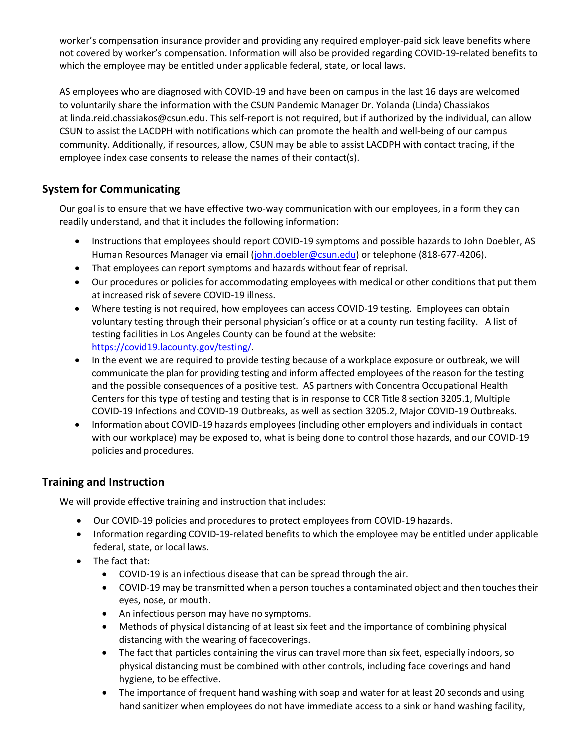worker's compensation insurance provider and providing any required employer-paid sick leave benefits where not covered by worker's compensation. Information will also be provided regarding COVID-19-related benefits to which the employee may be entitled under applicable federal, state, or local laws.

AS employees who are diagnosed with COVID-19 and have been on campus in the last 16 days are welcomed to voluntarily share the information with the CSUN Pandemic Manager Dr. Yolanda (Linda) Chassiakos at [linda.reid.chassiakos@csun.edu.](mailto:linda.reid.chassiakos@csun.edu) This self-report is not required, but if authorized by the individual, can allow CSUN to assist the LACDPH with notifications which can promote the health and well-being of our campus community. Additionally, if resources, allow, CSUN may be able to assist LACDPH with contact tracing, if the employee index case consents to release the names of their contact(s).

## **System for Communicating**

Our goal is to ensure that we have effective two-way communication with our employees, in a form they can readily understand, and that it includes the following information:

- Instructions that employees should report COVID-19 symptoms and possible hazards to John Doebler, AS Human Resources Manager via email [\(john.doebler@csun.edu\)](mailto:john.doebler@csun.edu) or telephone (818-677-4206).
- That employees can report symptoms and hazards without fear of reprisal.
- Our procedures or policies for accommodating employees with medical or other conditions that put them at increased risk of severe COVID-19 illness.
- Where testing is not required, how employees can access COVID-19 testing. Employees can obtain voluntary testing through their personal physician's office or at a county run testing facility. A list of testing facilities in Los Angeles County can be found at the website: [https://covid19.lacounty.gov/testing/.](https://covid19.lacounty.gov/testing/)
- In the event we are required to provide testing because of a workplace exposure or outbreak, we will communicate the plan for providing testing and inform affected employees of the reason for the testing and the possible consequences of a positive test. AS partners with Concentra Occupational Health Centers for this type of testing and testing that is in response to CCR Title 8 section 3205.1, Multiple COVID-19 Infections and COVID-19 Outbreaks, as well as section 3205.2, Major COVID-19 Outbreaks.
- Information about COVID-19 hazards employees (including other employers and individuals in contact with our workplace) may be exposed to, what is being done to control those hazards, and our COVID-19 policies and procedures.

## **Training and Instruction**

We will provide effective training and instruction that includes:

- Our COVID-19 policies and procedures to protect employees from COVID-19 hazards.
- Information regarding COVID-19-related benefits to which the employee may be entitled under applicable federal, state, or local laws.
- The fact that:
	- COVID-19 is an infectious disease that can be spread through the air.
	- COVID-19 may be transmitted when a person touches a contaminated object and then touches their eyes, nose, or mouth.
	- An infectious person may have no symptoms.
	- Methods of physical distancing of at least six feet and the importance of combining physical distancing with the wearing of facecoverings.
	- The fact that particles containing the virus can travel more than six feet, especially indoors, so physical distancing must be combined with other controls, including face coverings and hand hygiene, to be effective.
	- The importance of frequent hand washing with soap and water for at least 20 seconds and using hand sanitizer when employees do not have immediate access to a sink or hand washing facility,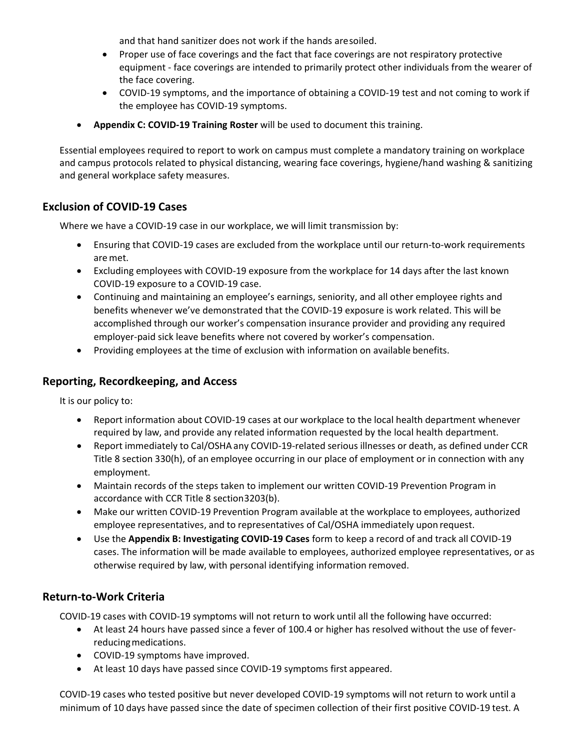and that hand sanitizer does not work if the hands aresoiled.

- Proper use of face coverings and the fact that face coverings are not respiratory protective equipment - face coverings are intended to primarily protect other individuals from the wearer of the face covering.
- COVID-19 symptoms, and the importance of obtaining a COVID-19 test and not coming to work if the employee has COVID-19 symptoms.
- **Appendix C: COVID-19 Training Roster** will be used to document this training.

Essential employees required to report to work on campus must complete a mandatory training on workplace and campus protocols related to physical distancing, wearing face coverings, hygiene/hand washing & sanitizing and general workplace safety measures.

## **Exclusion of COVID-19 Cases**

Where we have a COVID-19 case in our workplace, we will limit transmission by:

- Ensuring that COVID-19 cases are excluded from the workplace until our return-to-work requirements aremet.
- Excluding employees with COVID-19 exposure from the workplace for 14 days after the last known COVID-19 exposure to a COVID-19 case.
- Continuing and maintaining an employee's earnings, seniority, and all other employee rights and benefits whenever we've demonstrated that the COVID-19 exposure is work related. This will be accomplished through our worker's compensation insurance provider and providing any required employer-paid sick leave benefits where not covered by worker's compensation.
- Providing employees at the time of exclusion with information on available benefits.

## **Reporting, Recordkeeping, and Access**

It is our policy to:

- Report information about COVID-19 cases at our workplace to the local health department whenever required by law, and provide any related information requested by the local health department.
- Report immediately to Cal/OSHA any COVID-19-related serious illnesses or death, as defined under CCR Title 8 section 330(h), of an employee occurring in our place of employment or in connection with any employment.
- Maintain records of the steps taken to implement our written COVID-19 Prevention Program in accordance with CCR Title 8 section3203(b).
- Make our written COVID-19 Prevention Program available at the workplace to employees, authorized employee representatives, and to representatives of Cal/OSHA immediately upon request.
- Use the **Appendix B: Investigating COVID-19 Cases** form to keep a record of and track all COVID-19 cases. The information will be made available to employees, authorized employee representatives, or as otherwise required by law, with personal identifying information removed.

## **Return-to-Work Criteria**

COVID-19 cases with COVID-19 symptoms will not return to work until all the following have occurred:

- At least 24 hours have passed since a fever of 100.4 or higher has resolved without the use of feverreducingmedications.
- COVID-19 symptoms have improved.
- At least 10 days have passed since COVID-19 symptoms first appeared.

COVID-19 cases who tested positive but never developed COVID-19 symptoms will not return to work until a minimum of 10 days have passed since the date of specimen collection of their first positive COVID-19 test. A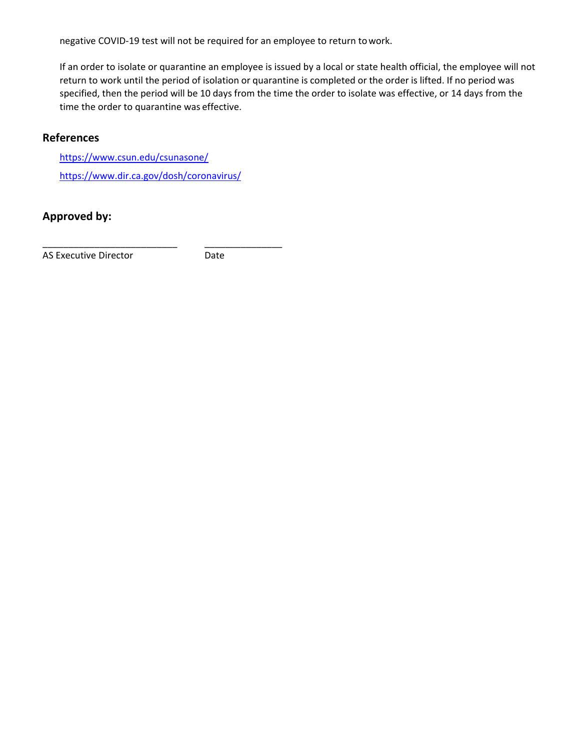negative COVID-19 test will not be required for an employee to return towork.

If an order to isolate or quarantine an employee is issued by a local or state health official, the employee will not return to work until the period of isolation or quarantine is completed or the order is lifted. If no period was specified, then the period will be 10 days from the time the order to isolate was effective, or 14 days from the time the order to quarantine was effective.

## **References**

<https://www.csun.edu/csunasone/> <https://www.dir.ca.gov/dosh/coronavirus/>

\_\_\_\_\_\_\_\_\_\_\_\_\_\_\_\_\_\_\_\_\_\_\_\_\_\_ \_\_\_\_\_\_\_\_\_\_\_\_\_\_\_

## **Approved by:**

AS Executive Director **Date**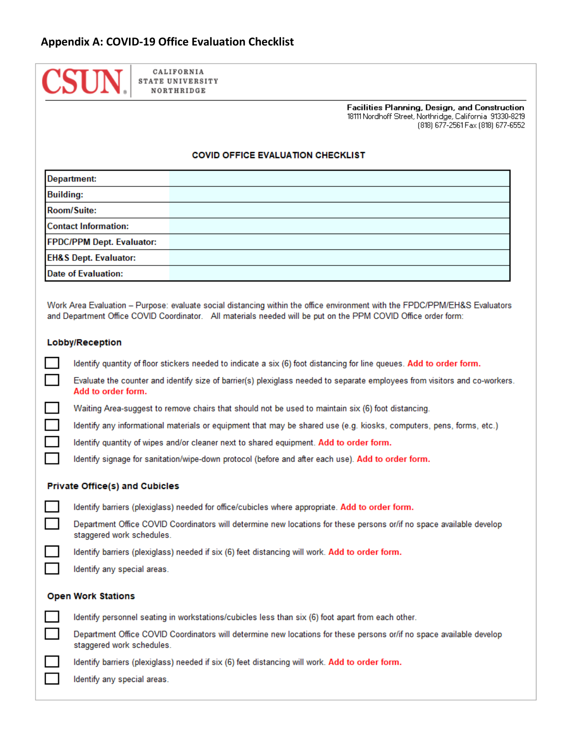

Facilities Planning, Design, and Construction 18111 Nordhoff Street, Northridge, California 91330-8219 (818) 677-2561 Fax (818) 677-6552

#### **COVID OFFICE EVALUATION CHECKLIST**

| <b>Department:</b>               |  |
|----------------------------------|--|
| <b>Building:</b>                 |  |
| <b>Room/Suite:</b>               |  |
| <b>Contact Information:</b>      |  |
| FPDC/PPM Dept. Evaluator:        |  |
| <b>EH&amp;S Dept. Evaluator:</b> |  |
| <b>Date of Evaluation:</b>       |  |

Work Area Evaluation - Purpose: evaluate social distancing within the office environment with the FPDC/PPM/EH&S Evaluators and Department Office COVID Coordinator. All materials needed will be put on the PPM COVID Office order form:

#### Lobby/Reception

Identify quantity of floor stickers needed to indicate a six (6) foot distancing for line queues. Add to order form.

Evaluate the counter and identify size of barrier(s) plexiglass needed to separate employees from visitors and co-workers. Add to order form.

Waiting Area-suggest to remove chairs that should not be used to maintain six (6) foot distancing.

Identify any informational materials or equipment that may be shared use (e.g. kiosks, computers, pens, forms, etc.)

Identify quantity of wipes and/or cleaner next to shared equipment. Add to order form.

Identify signage for sanitation/wipe-down protocol (before and after each use). Add to order form.

#### **Private Office(s) and Cubicles**

Identify barriers (plexiglass) needed for office/cubicles where appropriate. Add to order form.

Department Office COVID Coordinators will determine new locations for these persons or/if no space available develop staggered work schedules.

Identify barriers (plexiglass) needed if six (6) feet distancing will work. Add to order form.

Identify any special areas.

### **Open Work Stations**

Identify personnel seating in workstations/cubicles less than six (6) foot apart from each other. Department Office COVID Coordinators will determine new locations for these persons or/if no space available develop staggered work schedules. Identify barriers (plexiglass) needed if six (6) feet distancing will work. Add to order form.

Identify any special areas.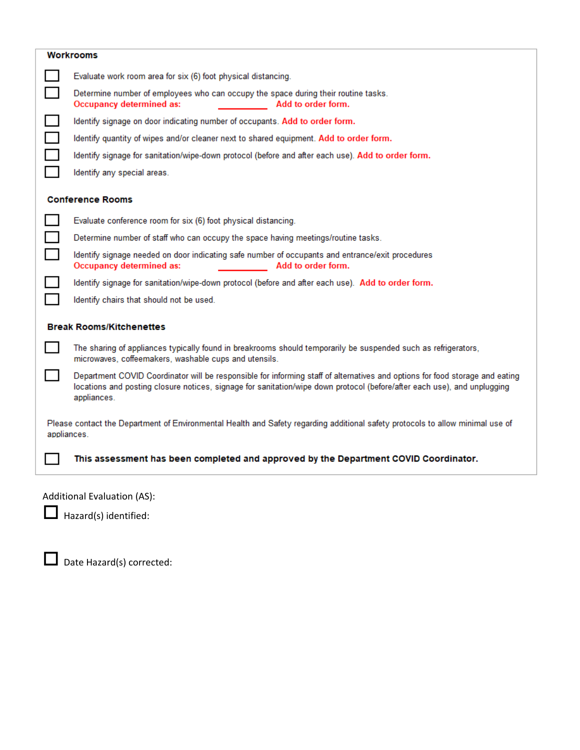|             | <b>Workrooms</b>                                                                                                                                                                                                                                                        |  |  |  |
|-------------|-------------------------------------------------------------------------------------------------------------------------------------------------------------------------------------------------------------------------------------------------------------------------|--|--|--|
|             | Evaluate work room area for six (6) foot physical distancing.                                                                                                                                                                                                           |  |  |  |
|             | Determine number of employees who can occupy the space during their routine tasks.<br><b>Occupancy determined as:</b><br>Add to order form.                                                                                                                             |  |  |  |
|             | Identify signage on door indicating number of occupants. Add to order form.                                                                                                                                                                                             |  |  |  |
|             | Identify quantity of wipes and/or cleaner next to shared equipment. Add to order form.                                                                                                                                                                                  |  |  |  |
|             | Identify signage for sanitation/wipe-down protocol (before and after each use). Add to order form.                                                                                                                                                                      |  |  |  |
|             | Identify any special areas.                                                                                                                                                                                                                                             |  |  |  |
|             | <b>Conference Rooms</b>                                                                                                                                                                                                                                                 |  |  |  |
|             | Evaluate conference room for six (6) foot physical distancing.                                                                                                                                                                                                          |  |  |  |
|             | Determine number of staff who can occupy the space having meetings/routine tasks.                                                                                                                                                                                       |  |  |  |
|             | Identify signage needed on door indicating safe number of occupants and entrance/exit procedures<br>Occupancy determined as:<br>Add to order form.                                                                                                                      |  |  |  |
|             | Identify signage for sanitation/wipe-down protocol (before and after each use). Add to order form.                                                                                                                                                                      |  |  |  |
|             | Identify chairs that should not be used.                                                                                                                                                                                                                                |  |  |  |
|             | <b>Break Rooms/Kitchenettes</b>                                                                                                                                                                                                                                         |  |  |  |
|             | The sharing of appliances typically found in breakrooms should temporarily be suspended such as refrigerators,<br>microwaves, coffeemakers, washable cups and utensils.                                                                                                 |  |  |  |
|             | Department COVID Coordinator will be responsible for informing staff of alternatives and options for food storage and eating<br>locations and posting closure notices, signage for sanitation/wipe down protocol (before/after each use), and unplugging<br>appliances. |  |  |  |
| appliances. | Please contact the Department of Environmental Health and Safety regarding additional safety protocols to allow minimal use of                                                                                                                                          |  |  |  |
|             | This assessment has been completed and approved by the Department COVID Coordinator.                                                                                                                                                                                    |  |  |  |
|             |                                                                                                                                                                                                                                                                         |  |  |  |

Additional Evaluation (AS):

Hazard(s) identified:

Date Hazard(s) corrected: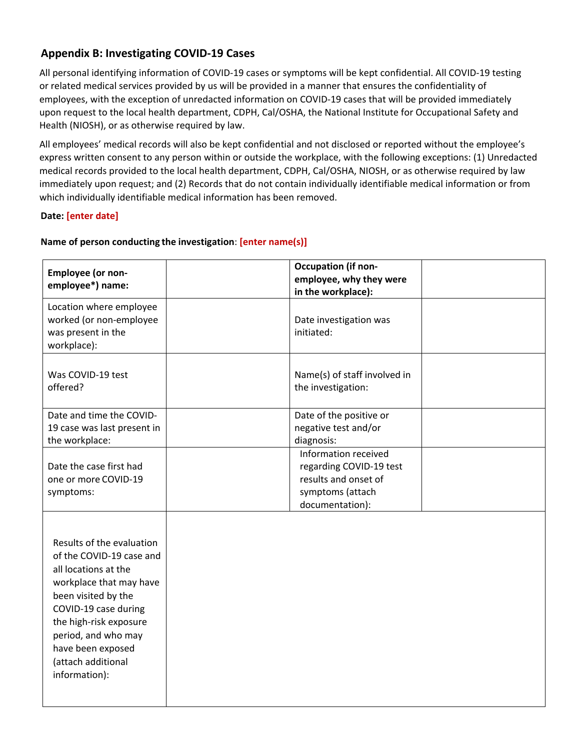## **Appendix B: Investigating COVID-19 Cases**

All personal identifying information of COVID-19 cases or symptoms will be kept confidential. All COVID-19 testing or related medical services provided by us will be provided in a manner that ensures the confidentiality of employees, with the exception of unredacted information on COVID-19 cases that will be provided immediately upon request to the local health department, CDPH, Cal/OSHA, the National Institute for Occupational Safety and Health (NIOSH), or as otherwise required by law.

All employees' medical records will also be kept confidential and not disclosed or reported without the employee's express written consent to any person within or outside the workplace, with the following exceptions: (1) Unredacted medical records provided to the local health department, CDPH, Cal/OSHA, NIOSH, or as otherwise required by law immediately upon request; and (2) Records that do not contain individually identifiable medical information or from which individually identifiable medical information has been removed.

### **Date: [enter date]**

| Employee (or non-           | <b>Occupation (if non-</b>   |
|-----------------------------|------------------------------|
| employee*) name:            | employee, why they were      |
|                             | in the workplace):           |
| Location where employee     |                              |
| worked (or non-employee     | Date investigation was       |
| was present in the          | initiated:                   |
| workplace):                 |                              |
|                             |                              |
| Was COVID-19 test           | Name(s) of staff involved in |
| offered?                    | the investigation:           |
|                             |                              |
| Date and time the COVID-    | Date of the positive or      |
| 19 case was last present in | negative test and/or         |
| the workplace:              | diagnosis:                   |
|                             | Information received         |
| Date the case first had     | regarding COVID-19 test      |
| one or more COVID-19        | results and onset of         |
| symptoms:                   | symptoms (attach             |
|                             | documentation):              |
|                             |                              |
| Results of the evaluation   |                              |
|                             |                              |
| of the COVID-19 case and    |                              |
| all locations at the        |                              |
| workplace that may have     |                              |
| been visited by the         |                              |
| COVID-19 case during        |                              |
| the high-risk exposure      |                              |
| period, and who may         |                              |
| have been exposed           |                              |
| (attach additional          |                              |
| information):               |                              |
|                             |                              |
|                             |                              |

#### **Name of person conducting the investigation**: **[enter name(s)]**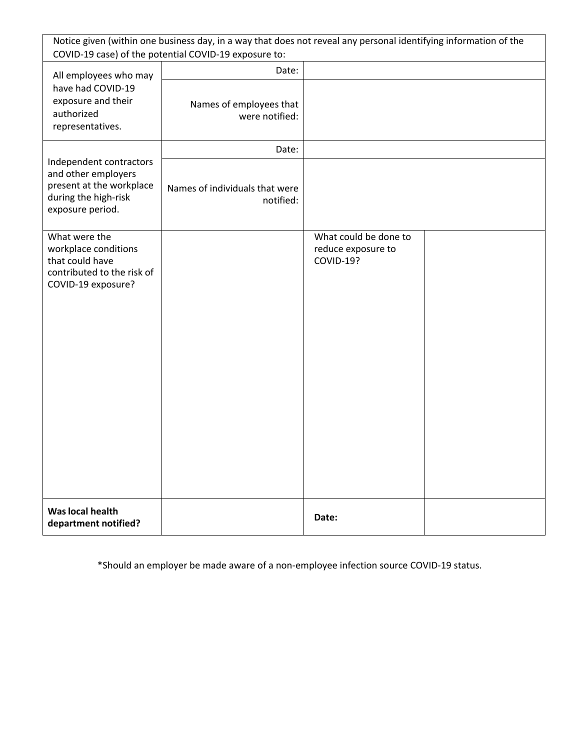|                                                                                                                        | Notice given (within one business day, in a way that does not reveal any personal identifying information of the<br>COVID-19 case) of the potential COVID-19 exposure to: |                                                          |  |
|------------------------------------------------------------------------------------------------------------------------|---------------------------------------------------------------------------------------------------------------------------------------------------------------------------|----------------------------------------------------------|--|
| All employees who may                                                                                                  | Date:                                                                                                                                                                     |                                                          |  |
| have had COVID-19<br>exposure and their<br>authorized<br>representatives.                                              | Names of employees that<br>were notified:                                                                                                                                 |                                                          |  |
|                                                                                                                        | Date:                                                                                                                                                                     |                                                          |  |
| Independent contractors<br>and other employers<br>present at the workplace<br>during the high-risk<br>exposure period. | Names of individuals that were<br>notified:                                                                                                                               |                                                          |  |
| What were the<br>workplace conditions<br>that could have<br>contributed to the risk of<br>COVID-19 exposure?           |                                                                                                                                                                           | What could be done to<br>reduce exposure to<br>COVID-19? |  |
| Was local health<br>department notified?                                                                               |                                                                                                                                                                           | Date:                                                    |  |

\*Should an employer be made aware of a non-employee infection source COVID-19 status.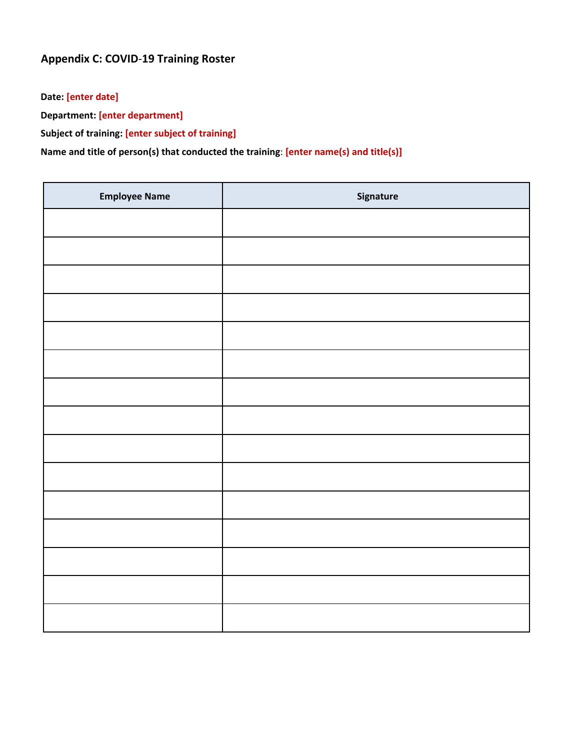## **Appendix C: COVID**-**19 Training Roster**

**Date: [enter date]**

**Department: [enter department]**

**Subject of training: [enter subject of training]**

## **Name and title of person(s) that conducted the training**: **[enter name(s) and title(s)]**

| <b>Employee Name</b> | Signature |
|----------------------|-----------|
|                      |           |
|                      |           |
|                      |           |
|                      |           |
|                      |           |
|                      |           |
|                      |           |
|                      |           |
|                      |           |
|                      |           |
|                      |           |
|                      |           |
|                      |           |
|                      |           |
|                      |           |